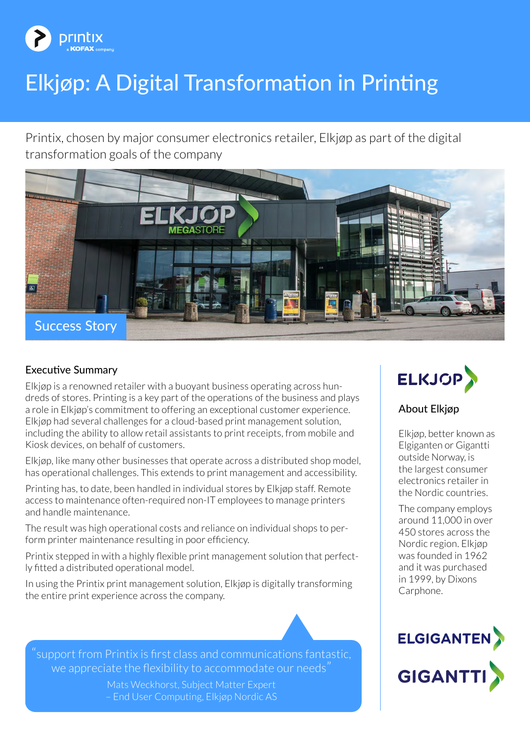

# Elkjøp: A Digital Transformation in Printing

Printix, chosen by major consumer electronics retailer, Elkjøp as part of the digital transformation goals of the company



# Executive Summary

Elkjøp is a renowned retailer with a buoyant business operating across hundreds of stores. Printing is a key part of the operations of the business and plays a role in Elkjøp's commitment to offering an exceptional customer experience. Elkjøp had several challenges for a cloud-based print management solution, including the ability to allow retail assistants to print receipts, from mobile and Kiosk devices, on behalf of customers.

Elkjøp, like many other businesses that operate across a distributed shop model, has operational challenges. This extends to print management and accessibility.

Printing has, to date, been handled in individual stores by Elkjøp staff. Remote access to maintenance often-required non-IT employees to manage printers and handle maintenance.

The result was high operational costs and reliance on individual shops to perform printer maintenance resulting in poor efficiency.

Printix stepped in with a highly flexible print management solution that perfectly fitted a distributed operational model.

In using the Printix print management solution, Elkjøp is digitally transforming the entire print experience across the company.

"support from Printix is first class and communications fantastic, we appreciate the flexibility to accommodate our needs"

> Mats Weckhorst, Subject Matter Expert – End User Computing, Elkjøp Nordic AS



## About Elkjøp

Elkjøp, better known as Elgiganten or Gigantti outside Norway, is the largest consumer electronics retailer in the Nordic countries.

The company employs around 11,000 in over 450 stores across the Nordic region. Elkjøp was founded in 1962 and it was purchased in 1999, by Dixons Carphone.